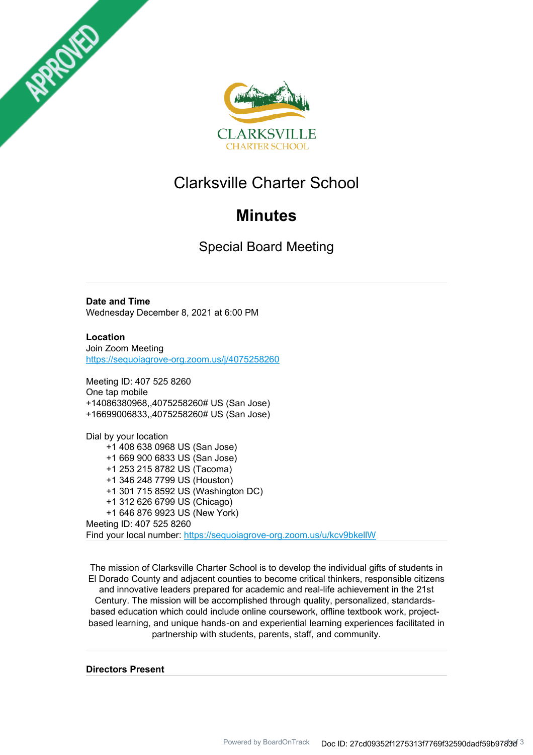



# Clarksville Charter School

# **Minutes**

Special Board Meeting

**Date and Time** Wednesday December 8, 2021 at 6:00 PM

**Location** Join Zoom Meeting https://sequoiagrove-org.zoom.us/j/4075258260

Meeting ID: 407 525 8260 One tap mobile +14086380968,,4075258260# US (San Jose) +16699006833,,4075258260# US (San Jose)

Dial by your location +1 408 638 0968 US (San Jose) +1 669 900 6833 US (San Jose) +1 253 215 8782 US (Tacoma) +1 346 248 7799 US (Houston) +1 301 715 8592 US (Washington DC) +1 312 626 6799 US (Chicago) +1 646 876 9923 US (New York) Meeting ID: 407 525 8260 Find your local number: https://sequoiagrove-org.zoom.us/u/kcv9bkellW

The mission of Clarksville Charter School is to develop the individual gifts of students in El Dorado County and adjacent counties to become critical thinkers, responsible citizens and innovative leaders prepared for academic and real-life achievement in the 21st Century. The mission will be accomplished through quality, personalized, standardsbased education which could include online coursework, offline textbook work, projectbased learning, and unique hands‐on and experiential learning experiences facilitated in partnership with students, parents, staff, and community.

**Directors Present**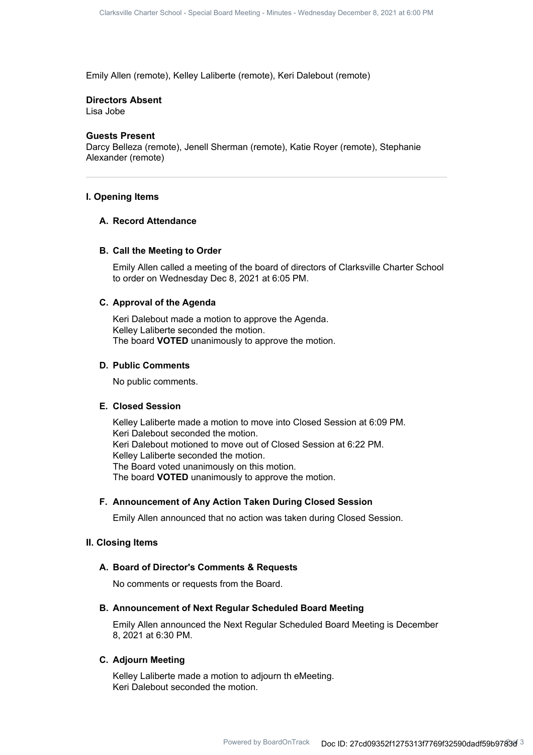Emily Allen (remote), Kelley Laliberte (remote), Keri Dalebout (remote)

#### **Directors Absent**

Lisa Jobe

## **Guests Present**

Darcy Belleza (remote), Jenell Sherman (remote), Katie Royer (remote), Stephanie Alexander (remote)

## **I. Opening Items**

## **A. Record Attendance**

### **B. Call the Meeting to Order**

Emily Allen called a meeting of the board of directors of Clarksville Charter School to order on Wednesday Dec 8, 2021 at 6:05 PM.

## **C. Approval of the Agenda**

Keri Dalebout made a motion to approve the Agenda. Kelley Laliberte seconded the motion. The board **VOTED** unanimously to approve the motion.

## **D. Public Comments**

No public comments.

## **E. Closed Session**

Kelley Laliberte made a motion to move into Closed Session at 6:09 PM. Keri Dalebout seconded the motion. Keri Dalebout motioned to move out of Closed Session at 6:22 PM. Kelley Laliberte seconded the motion. The Board voted unanimously on this motion. The board **VOTED** unanimously to approve the motion.

## **F. Announcement of Any Action Taken During Closed Session**

Emily Allen announced that no action was taken during Closed Session.

#### **II. Closing Items**

## **A. Board of Director's Comments & Requests**

No comments or requests from the Board.

## **B. Announcement of Next Regular Scheduled Board Meeting**

Emily Allen announced the Next Regular Scheduled Board Meeting is December 8, 2021 at 6:30 PM.

## **C. Adjourn Meeting**

Kelley Laliberte made a motion to adjourn th eMeeting. Keri Dalebout seconded the motion.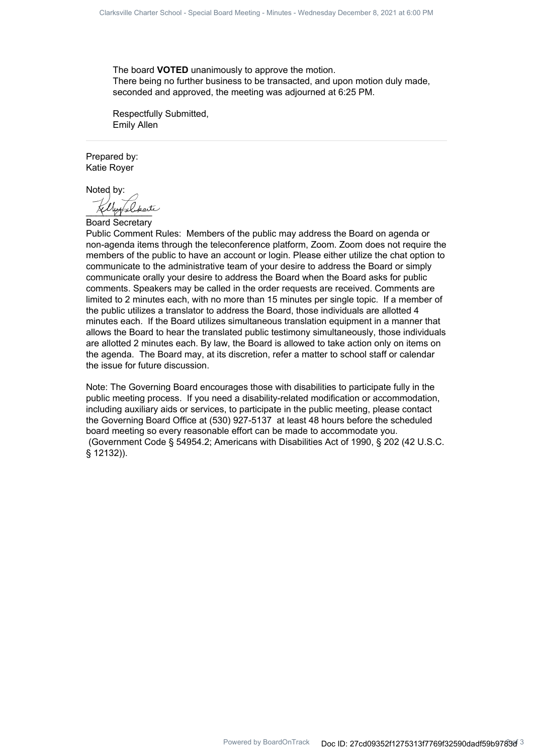The board **VOTED** unanimously to approve the motion. There being no further business to be transacted, and upon motion duly made, seconded and approved, the meeting was adjourned at 6:25 PM.

Respectfully Submitted, Emily Allen

Prepared by: Katie Royer

Noted by:

\_\_\_\_\_\_\_\_\_\_\_\_\_

Board Secretary

Public Comment Rules: Members of the public may address the Board on agenda or non-agenda items through the teleconference platform, Zoom. Zoom does not require the members of the public to have an account or login. Please either utilize the chat option to communicate to the administrative team of your desire to address the Board or simply communicate orally your desire to address the Board when the Board asks for public comments. Speakers may be called in the order requests are received. Comments are limited to 2 minutes each, with no more than 15 minutes per single topic. If a member of the public utilizes a translator to address the Board, those individuals are allotted 4 minutes each. If the Board utilizes simultaneous translation equipment in a manner that allows the Board to hear the translated public testimony simultaneously, those individuals are allotted 2 minutes each. By law, the Board is allowed to take action only on items on the agenda. The Board may, at its discretion, refer a matter to school staff or calendar the issue for future discussion.

Note: The Governing Board encourages those with disabilities to participate fully in the public meeting process. If you need a disability-related modification or accommodation, including auxiliary aids or services, to participate in the public meeting, please contact the Governing Board Office at (530) 927-5137 at least 48 hours before the scheduled board meeting so every reasonable effort can be made to accommodate you. (Government Code § 54954.2; Americans with Disabilities Act of 1990, § 202 (42 U.S.C. § 12132)).